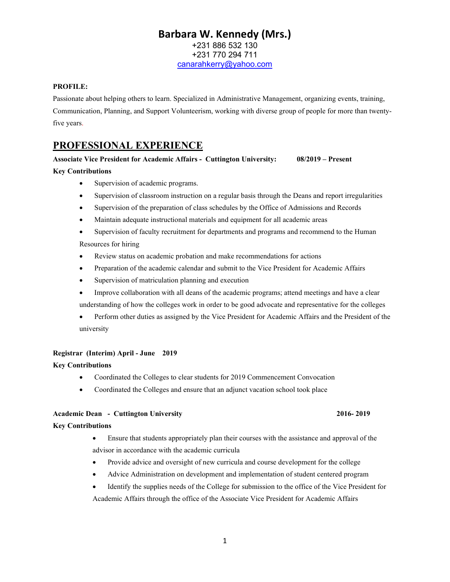# Barbara W. Kennedy (Mrs.) +231 886 532 130 +231 770 294 711 canarahkerry@yahoo.com

#### PROFILE:

Passionate about helping others to learn. Specialized in Administrative Management, organizing events, training, Communication, Planning, and Support Volunteerism, working with diverse group of people for more than twentyfive years.

# PROFESSIONAL EXPERIENCE

#### Associate Vice President for Academic Affairs - Cuttington University: 08/2019 – Present

#### Key Contributions

- Supervision of academic programs.
- Supervision of classroom instruction on a regular basis through the Deans and report irregularities
- Supervision of the preparation of class schedules by the Office of Admissions and Records
- Maintain adequate instructional materials and equipment for all academic areas
- Supervision of faculty recruitment for departments and programs and recommend to the Human Resources for hiring
- Review status on academic probation and make recommendations for actions
- Preparation of the academic calendar and submit to the Vice President for Academic Affairs
- Supervision of matriculation planning and execution
- Improve collaboration with all deans of the academic programs; attend meetings and have a clear understanding of how the colleges work in order to be good advocate and representative for the colleges
- Perform other duties as assigned by the Vice President for Academic Affairs and the President of the university

#### Registrar (Interim) April - June 2019

#### Key Contributions

- Coordinated the Colleges to clear students for 2019 Commencement Convocation
- Coordinated the Colleges and ensure that an adjunct vacation school took place

#### Academic Dean - Cuttington University 2016-2019

#### Key Contributions

- Ensure that students appropriately plan their courses with the assistance and approval of the advisor in accordance with the academic curricula
- Provide advice and oversight of new curricula and course development for the college
- Advice Administration on development and implementation of student centered program
- Identify the supplies needs of the College for submission to the office of the Vice President for Academic Affairs through the office of the Associate Vice President for Academic Affairs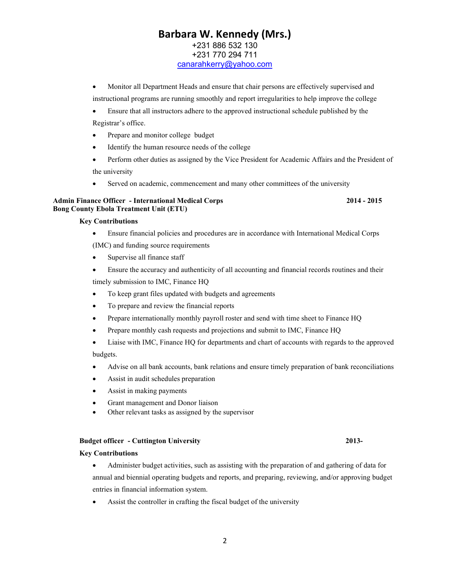# Barbara W. Kennedy (Mrs.) +231 886 532 130 +231 770 294 711

canarahkerry@yahoo.com

- Monitor all Department Heads and ensure that chair persons are effectively supervised and instructional programs are running smoothly and report irregularities to help improve the college
- Ensure that all instructors adhere to the approved instructional schedule published by the Registrar's office.
- Prepare and monitor college budget
- Identify the human resource needs of the college
- Perform other duties as assigned by the Vice President for Academic Affairs and the President of the university
- Served on academic, commencement and many other committees of the university

#### Admin Finance Officer - International Medical Corps 2014 - 2015 Bong County Ebola Treatment Unit (ETU)

#### Key Contributions

Ensure financial policies and procedures are in accordance with International Medical Corps

(IMC) and funding source requirements

- Supervise all finance staff
- Ensure the accuracy and authenticity of all accounting and financial records routines and their timely submission to IMC, Finance HQ
- To keep grant files updated with budgets and agreements
- To prepare and review the financial reports
- Prepare internationally monthly payroll roster and send with time sheet to Finance HQ
- Prepare monthly cash requests and projections and submit to IMC, Finance HQ
- Liaise with IMC, Finance HQ for departments and chart of accounts with regards to the approved budgets.
- Advise on all bank accounts, bank relations and ensure timely preparation of bank reconciliations
- Assist in audit schedules preparation
- Assist in making payments
- Grant management and Donor liaison
- Other relevant tasks as assigned by the supervisor

### Budget officer - Cuttington University 2013-

#### Key Contributions

- Administer budget activities, such as assisting with the preparation of and gathering of data for annual and biennial operating budgets and reports, and preparing, reviewing, and/or approving budget entries in financial information system.
- Assist the controller in crafting the fiscal budget of the university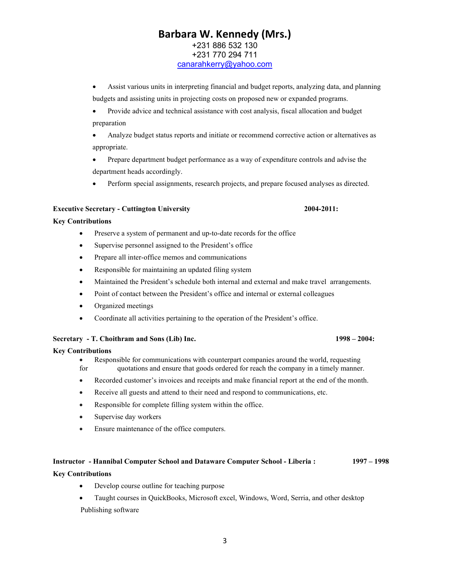# Barbara W. Kennedy (Mrs.) +231 886 532 130 +231 770 294 711 canarahkerry@yahoo.com

- Assist various units in interpreting financial and budget reports, analyzing data, and planning budgets and assisting units in projecting costs on proposed new or expanded programs.
- Provide advice and technical assistance with cost analysis, fiscal allocation and budget preparation
- Analyze budget status reports and initiate or recommend corrective action or alternatives as appropriate.
- Prepare department budget performance as a way of expenditure controls and advise the department heads accordingly.
- Perform special assignments, research projects, and prepare focused analyses as directed.

#### Executive Secretary - Cuttington University 2004-2011:

#### Key Contributions

- Preserve a system of permanent and up-to-date records for the office
- Supervise personnel assigned to the President's office
- Prepare all inter-office memos and communications
- Responsible for maintaining an updated filing system
- Maintained the President's schedule both internal and external and make travel arrangements.
- Point of contact between the President's office and internal or external colleagues
- Organized meetings
- Coordinate all activities pertaining to the operation of the President's office.

#### Secretary - T. Choithram and Sons (Lib) Inc. 1998 – 2004:

#### Key Contributions

- Responsible for communications with counterpart companies around the world, requesting
- for quotations and ensure that goods ordered for reach the company in a timely manner.
- Recorded customer's invoices and receipts and make financial report at the end of the month.
- Receive all guests and attend to their need and respond to communications, etc.
- Responsible for complete filling system within the office.
- Supervise day workers
- Ensure maintenance of the office computers.

#### Instructor - Hannibal Computer School and Dataware Computer School - Liberia : 1997 – 1998

#### Key Contributions

- Develop course outline for teaching purpose
- Taught courses in QuickBooks, Microsoft excel, Windows, Word, Serria, and other desktop Publishing software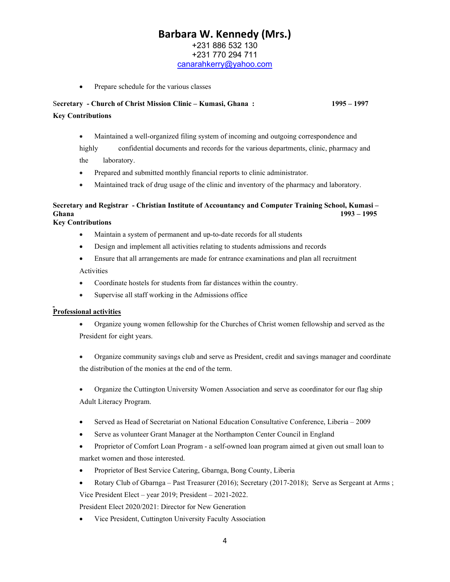# Barbara W. Kennedy (Mrs.)

+231 886 532 130

+231 770 294 711 canarahkerry@yahoo.com

• Prepare schedule for the various classes

## Secretary - Church of Christ Mission Clinic – Kumasi, Ghana : 1995 – 1997 Key Contributions

Maintained a well-organized filing system of incoming and outgoing correspondence and

highly confidential documents and records for the various departments, clinic, pharmacy and the laboratory.

- Prepared and submitted monthly financial reports to clinic administrator.
- Maintained track of drug usage of the clinic and inventory of the pharmacy and laboratory.

# Secretary and Registrar - Christian Institute of Accountancy and Computer Training School, Kumasi – Ghana 1993 – 1995

### Key Contributions

- Maintain a system of permanent and up-to-date records for all students
- Design and implement all activities relating to students admissions and records
- Ensure that all arrangements are made for entrance examinations and plan all recruitment Activities
- Coordinate hostels for students from far distances within the country.
- Supervise all staff working in the Admissions office

### Professional activities

- Organize young women fellowship for the Churches of Christ women fellowship and served as the President for eight years.
- Organize community savings club and serve as President, credit and savings manager and coordinate the distribution of the monies at the end of the term.
- Organize the Cuttington University Women Association and serve as coordinator for our flag ship Adult Literacy Program.
- Served as Head of Secretariat on National Education Consultative Conference, Liberia 2009
- Serve as volunteer Grant Manager at the Northampton Center Council in England
- Proprietor of Comfort Loan Program a self-owned loan program aimed at given out small loan to market women and those interested.
- Proprietor of Best Service Catering, Gbarnga, Bong County, Liberia
- Rotary Club of Gbarnga Past Treasurer (2016); Secretary (2017-2018); Serve as Sergeant at Arms ;

Vice President Elect – year 2019; President – 2021-2022.

President Elect 2020/2021: Director for New Generation

Vice President, Cuttington University Faculty Association